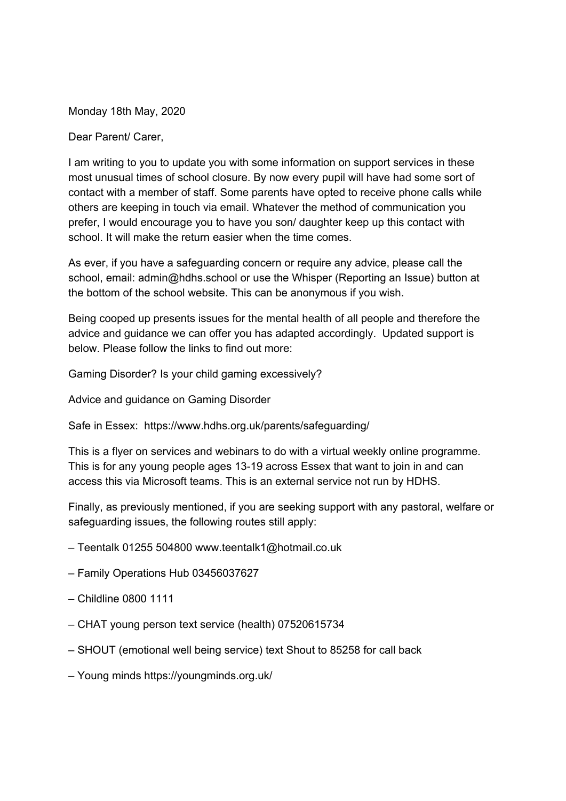Monday 18th May, 2020

Dear Parent/ Carer,

I am writing to you to update you with some information on support services in these most unusual times of school closure. By now every pupil will have had some sort of contact with a member of staff. Some parents have opted to receive phone calls while others are keeping in touch via email. Whatever the method of communication you prefer, I would encourage you to have you son/ daughter keep up this contact with school. It will make the return easier when the time comes.

As ever, if you have a safeguarding concern or require any advice, please call the school, email: admin@hdhs.school or use the Whisper ([Reporting](https://www.hdhs.org.uk/wp-content/uploads/elements/icons/footer_whisper.png) an Issue) button at the bottom of the school website. This can be anonymous if you wish.

Being cooped up presents issues for the mental health of all people and therefore the advice and guidance we can offer you has adapted accordingly. Updated support is below. Please follow the links to find out more:

Gaming Disorder? Is your child gaming [excessively?](https://ineqe.com/2020/05/07/should-you-be-worried-about-gaming-disorder/?utm_source=hs_email&utm_medium=email&utm_content=87866448&_hsenc=p2ANqtz-9JPQoPbdGaGlcj3HltT3l-R_AZ2v6AC4qZ9_FhrXTBNnSIluiK5zoTPa8VhPcS9UHNFGLWqaIvXeHKhTFcT7ehV3ga73NW-7kvhnHpdDESUG-Rbec&_hsmi=87866448)

Advice and guidance on Gaming Disorder

Safe in Essex: <https://www.hdhs.org.uk/parents/safeguarding/>

This is a flyer on services and webinars to do with a virtual weekly online programme. This is for any young people ages 13-19 across Essex that want to join in and can access this via Microsoft teams. This is an external service not run by HDHS.

Finally, as previously mentioned, if you are seeking support with any pastoral, welfare or safeguarding issues, the following routes still apply:

- Teentalk 01255 504800 www.teentalk1@hotmail.co.uk
- Family Operations Hub 03456037627
- Childline 0800 1111
- CHAT young person text service (health) 07520615734
- SHOUT (emotional well being service) text Shout to 85258 for call back
- Young minds https://youngminds.org.uk/